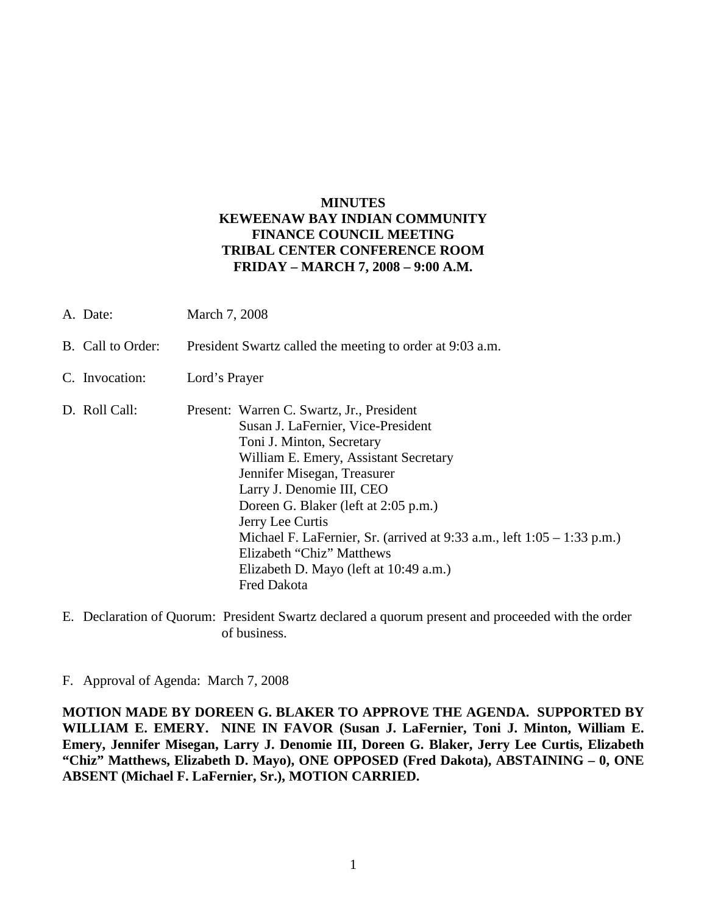## **MINUTES KEWEENAW BAY INDIAN COMMUNITY FINANCE COUNCIL MEETING TRIBAL CENTER CONFERENCE ROOM FRIDAY – MARCH 7, 2008 – 9:00 A.M.**

| A. Date:          | March 7, 2008                                                                                                                                                                                                                                                                                                                                                                                                                                             |
|-------------------|-----------------------------------------------------------------------------------------------------------------------------------------------------------------------------------------------------------------------------------------------------------------------------------------------------------------------------------------------------------------------------------------------------------------------------------------------------------|
| B. Call to Order: | President Swartz called the meeting to order at 9:03 a.m.                                                                                                                                                                                                                                                                                                                                                                                                 |
| C. Invocation:    | Lord's Prayer                                                                                                                                                                                                                                                                                                                                                                                                                                             |
| D. Roll Call:     | Present: Warren C. Swartz, Jr., President<br>Susan J. LaFernier, Vice-President<br>Toni J. Minton, Secretary<br>William E. Emery, Assistant Secretary<br>Jennifer Misegan, Treasurer<br>Larry J. Denomie III, CEO<br>Doreen G. Blaker (left at 2:05 p.m.)<br>Jerry Lee Curtis<br>Michael F. LaFernier, Sr. (arrived at $9:33$ a.m., left $1:05 - 1:33$ p.m.)<br>Elizabeth "Chiz" Matthews<br>Elizabeth D. Mayo (left at 10:49 a.m.)<br><b>Fred Dakota</b> |

E. Declaration of Quorum: President Swartz declared a quorum present and proceeded with the order of business.

F. Approval of Agenda: March 7, 2008

**MOTION MADE BY DOREEN G. BLAKER TO APPROVE THE AGENDA. SUPPORTED BY WILLIAM E. EMERY. NINE IN FAVOR (Susan J. LaFernier, Toni J. Minton, William E. Emery, Jennifer Misegan, Larry J. Denomie III, Doreen G. Blaker, Jerry Lee Curtis, Elizabeth "Chiz" Matthews, Elizabeth D. Mayo), ONE OPPOSED (Fred Dakota), ABSTAINING – 0, ONE ABSENT (Michael F. LaFernier, Sr.), MOTION CARRIED.**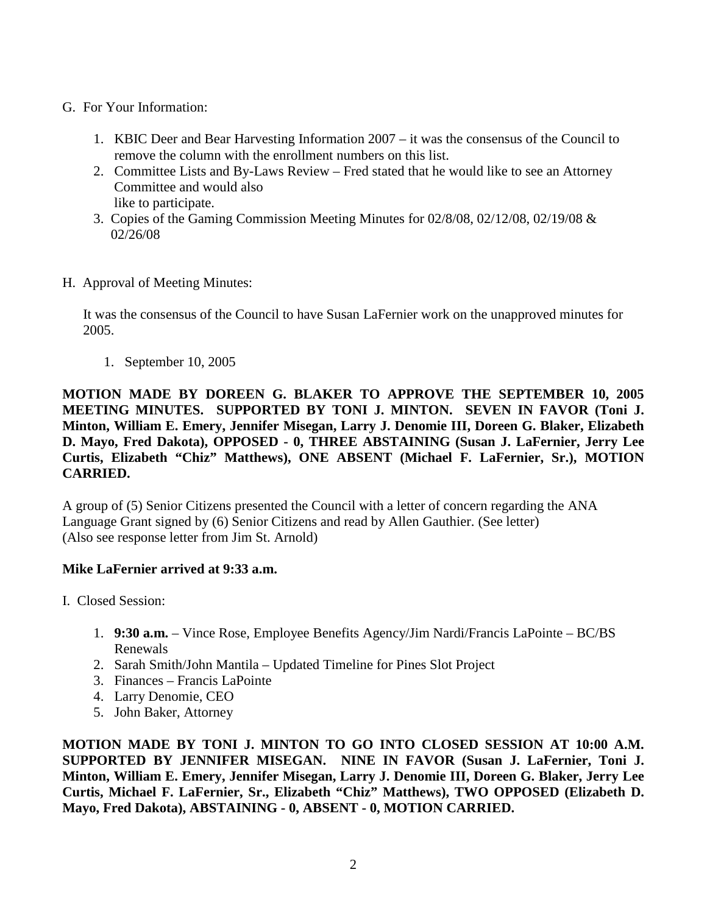## G. For Your Information:

- 1. KBIC Deer and Bear Harvesting Information 2007 it was the consensus of the Council to remove the column with the enrollment numbers on this list.
- 2. Committee Lists and By-Laws Review Fred stated that he would like to see an Attorney Committee and would also like to participate.
- 3. Copies of the Gaming Commission Meeting Minutes for 02/8/08, 02/12/08, 02/19/08 & 02/26/08
- H. Approval of Meeting Minutes:

It was the consensus of the Council to have Susan LaFernier work on the unapproved minutes for 2005.

1. September 10, 2005

**MOTION MADE BY DOREEN G. BLAKER TO APPROVE THE SEPTEMBER 10, 2005 MEETING MINUTES. SUPPORTED BY TONI J. MINTON. SEVEN IN FAVOR (Toni J. Minton, William E. Emery, Jennifer Misegan, Larry J. Denomie III, Doreen G. Blaker, Elizabeth D. Mayo, Fred Dakota), OPPOSED - 0, THREE ABSTAINING (Susan J. LaFernier, Jerry Lee Curtis, Elizabeth "Chiz" Matthews), ONE ABSENT (Michael F. LaFernier, Sr.), MOTION CARRIED.**

A group of (5) Senior Citizens presented the Council with a letter of concern regarding the ANA Language Grant signed by (6) Senior Citizens and read by Allen Gauthier. (See letter) (Also see response letter from Jim St. Arnold)

## **Mike LaFernier arrived at 9:33 a.m.**

- I. Closed Session:
	- 1. **9:30 a.m.**  Vince Rose, Employee Benefits Agency/Jim Nardi/Francis LaPointe BC/BS Renewals
	- 2. Sarah Smith/John Mantila Updated Timeline for Pines Slot Project
	- 3. Finances Francis LaPointe
	- 4. Larry Denomie, CEO
	- 5. John Baker, Attorney

**MOTION MADE BY TONI J. MINTON TO GO INTO CLOSED SESSION AT 10:00 A.M. SUPPORTED BY JENNIFER MISEGAN. NINE IN FAVOR (Susan J. LaFernier, Toni J. Minton, William E. Emery, Jennifer Misegan, Larry J. Denomie III, Doreen G. Blaker, Jerry Lee Curtis, Michael F. LaFernier, Sr., Elizabeth "Chiz" Matthews), TWO OPPOSED (Elizabeth D. Mayo, Fred Dakota), ABSTAINING - 0, ABSENT - 0, MOTION CARRIED.**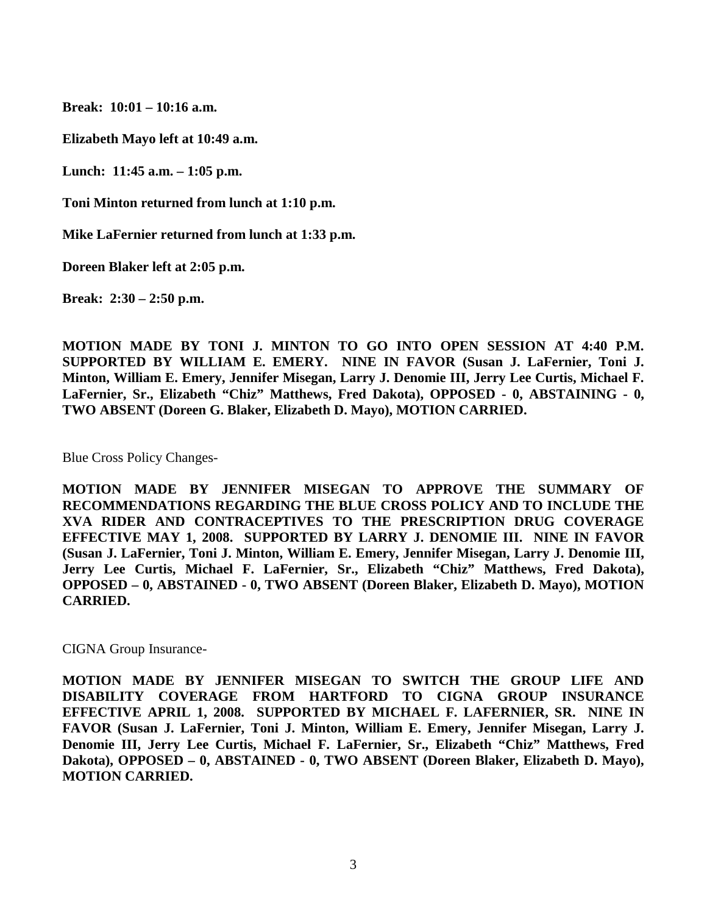**Break: 10:01 – 10:16 a.m.**

**Elizabeth Mayo left at 10:49 a.m.**

**Lunch: 11:45 a.m. – 1:05 p.m.**

**Toni Minton returned from lunch at 1:10 p.m.**

**Mike LaFernier returned from lunch at 1:33 p.m.**

**Doreen Blaker left at 2:05 p.m.**

**Break: 2:30 – 2:50 p.m.**

**MOTION MADE BY TONI J. MINTON TO GO INTO OPEN SESSION AT 4:40 P.M. SUPPORTED BY WILLIAM E. EMERY. NINE IN FAVOR (Susan J. LaFernier, Toni J. Minton, William E. Emery, Jennifer Misegan, Larry J. Denomie III, Jerry Lee Curtis, Michael F. LaFernier, Sr., Elizabeth "Chiz" Matthews, Fred Dakota), OPPOSED - 0, ABSTAINING - 0, TWO ABSENT (Doreen G. Blaker, Elizabeth D. Mayo), MOTION CARRIED.**

Blue Cross Policy Changes-

**MOTION MADE BY JENNIFER MISEGAN TO APPROVE THE SUMMARY OF RECOMMENDATIONS REGARDING THE BLUE CROSS POLICY AND TO INCLUDE THE XVA RIDER AND CONTRACEPTIVES TO THE PRESCRIPTION DRUG COVERAGE EFFECTIVE MAY 1, 2008. SUPPORTED BY LARRY J. DENOMIE III. NINE IN FAVOR (Susan J. LaFernier, Toni J. Minton, William E. Emery, Jennifer Misegan, Larry J. Denomie III, Jerry Lee Curtis, Michael F. LaFernier, Sr., Elizabeth "Chiz" Matthews, Fred Dakota), OPPOSED – 0, ABSTAINED - 0, TWO ABSENT (Doreen Blaker, Elizabeth D. Mayo), MOTION CARRIED.** 

CIGNA Group Insurance-

**MOTION MADE BY JENNIFER MISEGAN TO SWITCH THE GROUP LIFE AND DISABILITY COVERAGE FROM HARTFORD TO CIGNA GROUP INSURANCE EFFECTIVE APRIL 1, 2008. SUPPORTED BY MICHAEL F. LAFERNIER, SR. NINE IN FAVOR (Susan J. LaFernier, Toni J. Minton, William E. Emery, Jennifer Misegan, Larry J. Denomie III, Jerry Lee Curtis, Michael F. LaFernier, Sr., Elizabeth "Chiz" Matthews, Fred Dakota), OPPOSED – 0, ABSTAINED - 0, TWO ABSENT (Doreen Blaker, Elizabeth D. Mayo), MOTION CARRIED.**